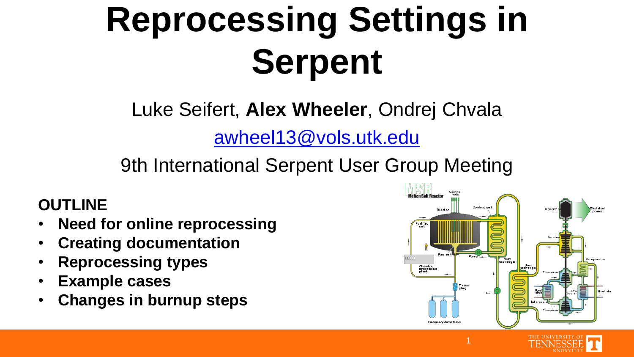# **Reprocessing Settings in Serpent**

Luke Seifert, **Alex Wheeler**, Ondrej Chvala

[awheel13@vols.utk.edu](mailto:awheel13@vols.utk.edu)

9th International Serpent User Group Meeting

#### **OUTLINE**

- **Need for online reprocessing**
- **Creating documentation**
- **Reprocessing types**
- **Example cases**
- **Changes in burnup steps**

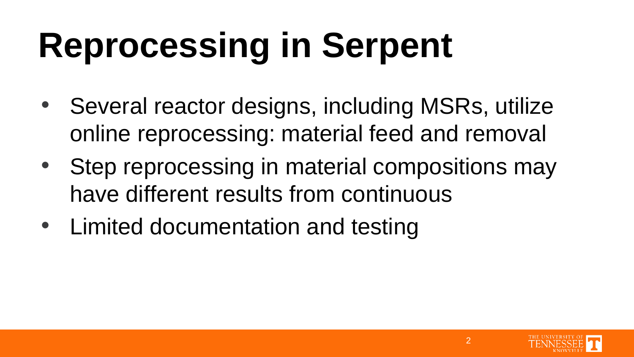## **Reprocessing in Serpent**

- Several reactor designs, including MSRs, utilize online reprocessing: material feed and removal
- Step reprocessing in material compositions may have different results from continuous
- Limited documentation and testing

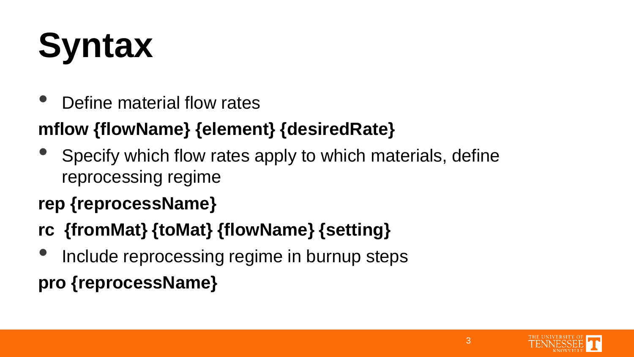# **Syntax**

• Define material flow rates

#### **mflow {flowName} {element} {desiredRate}**

• Specify which flow rates apply to which materials, define reprocessing regime

#### **rep {reprocessName}**

#### **rc {fromMat} {toMat} {flowName} {setting}**

Include reprocessing regime in burnup steps

#### **pro {reprocessName}**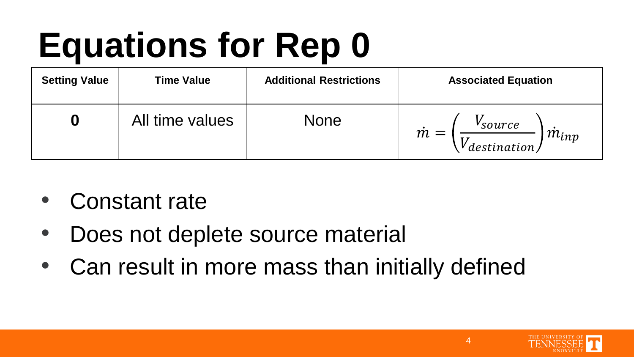# **Equations for Rep 0**

| <b>Setting Value</b> | <b>Time Value</b> | <b>Additional Restrictions</b> | <b>Associated Equation</b>                                                                |
|----------------------|-------------------|--------------------------------|-------------------------------------------------------------------------------------------|
| O                    | All time values   | <b>None</b>                    | <i>v</i> <sub>source</sub><br>$\dot{m} =$<br>$\dot{m}_{inp}$<br>$^\prime$ destination $/$ |

- Constant rate
- Does not deplete source material
- Can result in more mass than initially defined

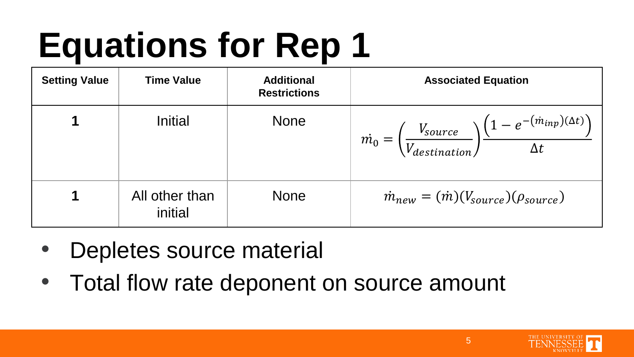# **Equations for Rep 1**

| <b>Setting Value</b> | <b>Time Value</b>         | <b>Additional</b><br><b>Restrictions</b> | <b>Associated Equation</b>                                                                                                     |
|----------------------|---------------------------|------------------------------------------|--------------------------------------------------------------------------------------------------------------------------------|
|                      | Initial                   | <b>None</b>                              | $\dot{m}_0 = \left(\frac{V_{source}}{V_{destination}}\right) \frac{\left(1 - e^{-(\dot{m}_{inp})(\Delta t)}\right)}{\Delta t}$ |
|                      | All other than<br>initial | <b>None</b>                              | $\dot{m}_{new} = (\dot{m})(V_{source})(\rho_{source})$                                                                         |

- Depletes source material
- Total flow rate deponent on source amount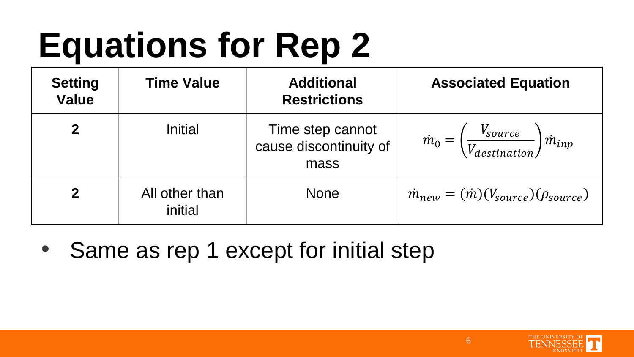# **Equations for Rep 2**

| <b>Setting</b><br><b>Value</b> | <b>Time Value</b>         | <b>Additional</b><br><b>Restrictions</b>           | <b>Associated Equation</b>                                                  |
|--------------------------------|---------------------------|----------------------------------------------------|-----------------------------------------------------------------------------|
| $\mathbf{2}$                   | Initial                   | Time step cannot<br>cause discontinuity of<br>mass | $\dot{m}_0 = \left(\frac{V_{source}}{V_{destination}}\right) \dot{m}_{inp}$ |
| $\mathbf 2$                    | All other than<br>initial | <b>None</b>                                        | $\dot{m}_{new} = (\dot{m})(V_{source})(\rho_{source})$                      |

• Same as rep 1 except for initial step

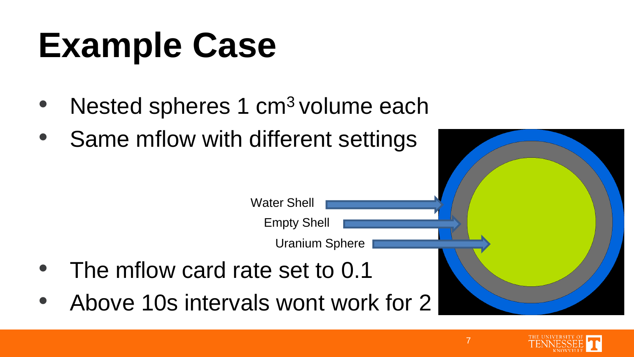### **Example Case**

- Nested spheres 1 cm<sup>3</sup> volume each
- Same mflow with different settings



- The mflow card rate set to 0.1
- Above 10s intervals wont work for 2

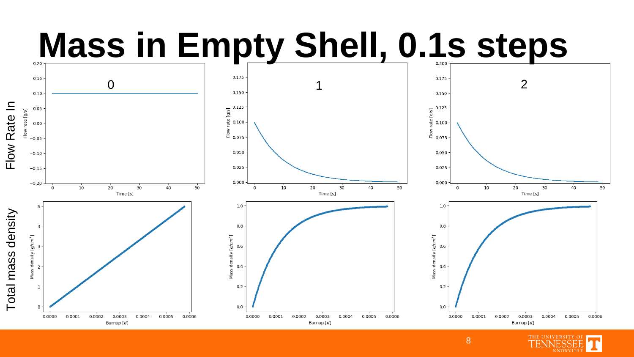### **Mass in Empty Shell, 0.1s steps**



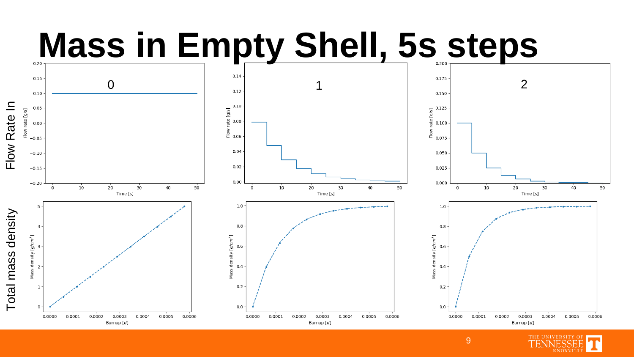### **Mass in Empty Shell, 5s steps**



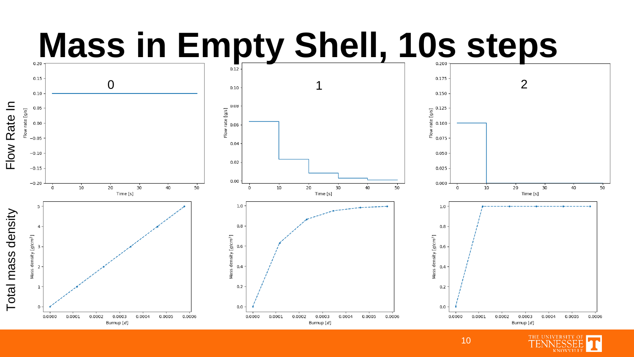### **Mass in Empty Shell, 10s steps**



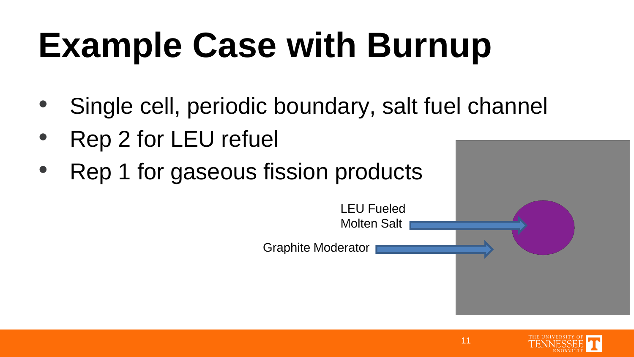## **Example Case with Burnup**

- Single cell, periodic boundary, salt fuel channel
- Rep 2 for LEU refuel
- Rep 1 for gaseous fission products



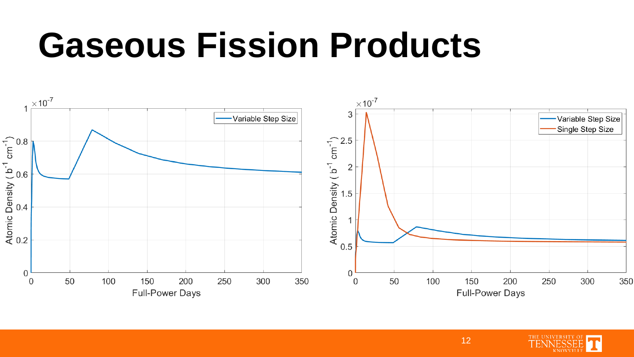#### **Gaseous Fission Products**



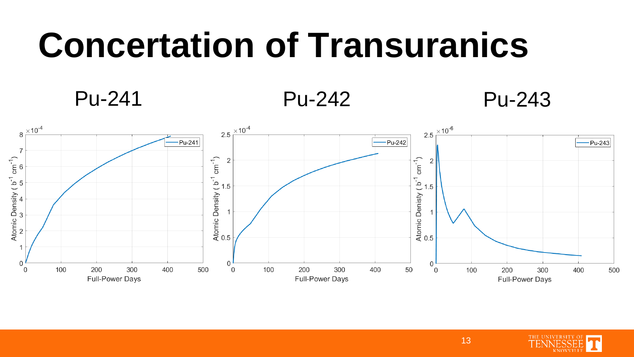#### **Concertation of Transuranics**

#### Pu-241 Pu-242 Pu-243